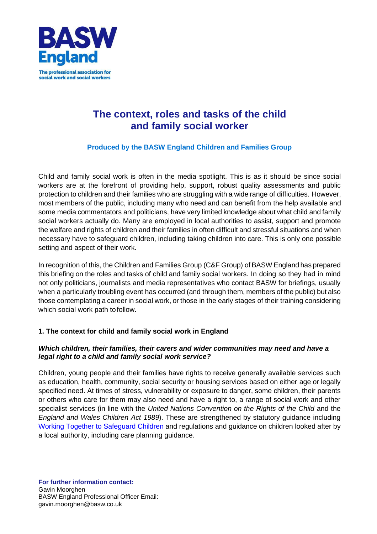

# **The context, roles and tasks of the child and family social worker**

**Produced by the BASW England Children and Families Group**

Child and family social work is often in the media spotlight. This is as it should be since social workers are at the forefront of providing help, support, robust quality assessments and public protection to children and their families who are struggling with a wide range of difficulties. However, most members of the public, including many who need and can benefit from the help available and some media commentators and politicians, have very limited knowledge about what child and family social workers actually do. Many are employed in local authorities to assist, support and promote the welfare and rights of children and their families in often difficult and stressful situations and when necessary have to safeguard children, including taking children into care. This is only one possible setting and aspect of their work.

In recognition of this, the Children and Families Group (C&F Group) of BASW England has prepared this briefing on the roles and tasks of child and family social workers. In doing so they had in mind not only politicians, journalists and media representatives who contact BASW for briefings, usually when a particularly troubling event has occurred (and through them, members of the public) but also those contemplating a career in social work, or those in the early stages of their training considering which social work path to follow.

## **1. The context for child and family social work in England**

#### *Which children, their families, their carers and wider communities may need and have a legal right to a child and family social work service?*

Children, young people and their families have rights to receive generally available services such as education, health, community, social security or housing services based on either age or legally specified need. At times of stress, vulnerability or exposure to danger, some children, their parents or others who care for them may also need and have a right to, a range of social work and other specialist services (in line with the *United Nations Convention on the Rights of the Child* and the *England and Wales Children Act 1989*). These are strengthened by statutory guidance including [Working Together to Safeguard Children](https://www.gov.uk/government/publications/working-together-to-safeguard-children--2) and regulations and guidance on children looked after by a local authority, including care planning guidance.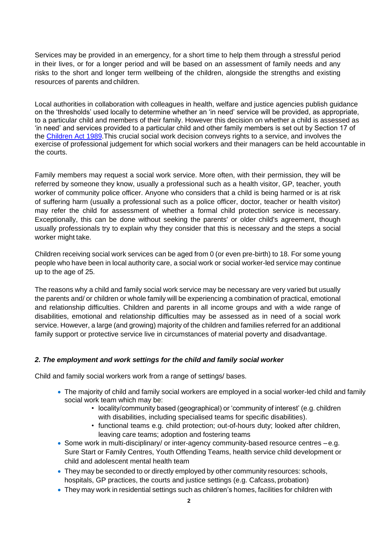Services may be provided in an emergency, for a short time to help them through a stressful period in their lives, or for a longer period and will be based on an assessment of family needs and any risks to the short and longer term wellbeing of the children, alongside the strengths and existing resources of parents and children.

Local authorities in collaboration with colleagues in health, welfare and justice agencies publish guidance on the 'thresholds' used locally to determine whether an 'in need' service will be provided, as appropriate, to a particular child and members of their family. However this decision on whether a child is assessed as 'in need' and services provided to a particular child and other family members is set out by Section 17 of the [Children Act 1989.](https://www.legislation.gov.uk/ukpga/1989/41/section/17/enacted)This crucial social work decision conveys rights to a service, and involves the exercise of professional judgement for which social workers and their managers can be held accountable in the courts.

Family members may request a social work service. More often, with their permission, they will be referred by someone they know, usually a professional such as a health visitor, GP, teacher, youth worker of community police officer. Anyone who considers that a child is being harmed or is at risk of suffering harm (usually a professional such as a police officer, doctor, teacher or health visitor) may refer the child for assessment of whether a formal child protection service is necessary. Exceptionally, this can be done without seeking the parents' or older child's agreement, though usually professionals try to explain why they consider that this is necessary and the steps a social worker might take.

Children receiving social work services can be aged from 0 (or even pre-birth) to 18. For some young people who have been in local authority care, a social work or social worker-led service may continue up to the age of 25.

The reasons why a child and family social work service may be necessary are very varied but usually the parents and/ or children or whole family will be experiencing a combination of practical, emotional and relationship difficulties. Children and parents in all income groups and with a wide range of disabilities, emotional and relationship difficulties may be assessed as in need of a social work service. However, a large (and growing) majority of the children and families referred for an additional family support or protective service live in circumstances of material poverty and disadvantage.

#### *2. The employment and work settings for the child and family social worker*

Child and family social workers work from a range of settings/ bases.

- The majority of child and family social workers are employed in a social worker-led child and family social work team which may be:
	- locality/community based (geographical) or 'community of interest' (e.g. children with disabilities, including specialised teams for specific disabilities).
	- functional teams e.g. child protection; out-of-hours duty; looked after children, leaving care teams; adoption and fostering teams
- Some work in multi-disciplinary/ or inter-agency community-based resource centres -e.g. Sure Start or Family Centres, Youth Offending Teams, health service child development or child and adolescent mental health team
- They may be seconded to or directly employed by other community resources: schools, hospitals, GP practices, the courts and justice settings (e.g. Cafcass, probation)
- They may work in residential settings such as children's homes, facilities for children with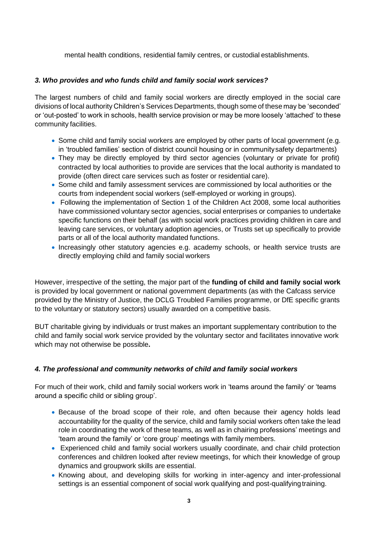mental health conditions, residential family centres, or custodial establishments.

#### *3. Who provides and who funds child and family social work services?*

The largest numbers of child and family social workers are directly employed in the social care divisions of local authority Children's Services Departments, though some of these may be 'seconded' or 'out-posted' to work in schools, health service provision or may be more loosely 'attached' to these community facilities.

- Some child and family social workers are employed by other parts of local government (e.g. in 'troubled families' section of district council housing or in communitysafety departments)
- They may be directly employed by third sector agencies (voluntary or private for profit) contracted by local authorities to provide are services that the local authority is mandated to provide (often direct care services such as foster or residential care).
- Some child and family assessment services are commissioned by local authorities or the courts from independent social workers (self-employed or working in groups).
- Following the implementation of Section 1 of the Children Act 2008, some local authorities have commissioned voluntary sector agencies, social enterprises or companies to undertake specific functions on their behalf (as with social work practices providing children in care and leaving care services, or voluntary adoption agencies, or Trusts set up specifically to provide parts or all of the local authority mandated functions.
- Increasingly other statutory agencies e.g. academy schools, or health service trusts are directly employing child and family social workers

However, irrespective of the setting, the major part of the **funding of child and family social work**  is provided by local government or national government departments (as with the Cafcass service provided by the Ministry of Justice, the DCLG Troubled Families programme, or DfE specific grants to the voluntary or statutory sectors) usually awarded on a competitive basis.

BUT charitable giving by individuals or trust makes an important supplementary contribution to the child and family social work service provided by the voluntary sector and facilitates innovative work which may not otherwise be possible**.**

## *4. The professional and community networks of child and family social workers*

For much of their work, child and family social workers work in 'teams around the family' or 'teams around a specific child or sibling group'.

- Because of the broad scope of their role, and often because their agency holds lead accountability for the quality of the service, child and family social workers often take the lead role in coordinating the work of these teams, as well as in chairing professions' meetings and 'team around the family' or 'core group' meetings with family members.
- Experienced child and family social workers usually coordinate, and chair child protection conferences and children looked after review meetings, for which their knowledge of group dynamics and groupwork skills are essential.
- Knowing about, and developing skills for working in inter-agency and inter-professional settings is an essential component of social work qualifying and post-qualifying training.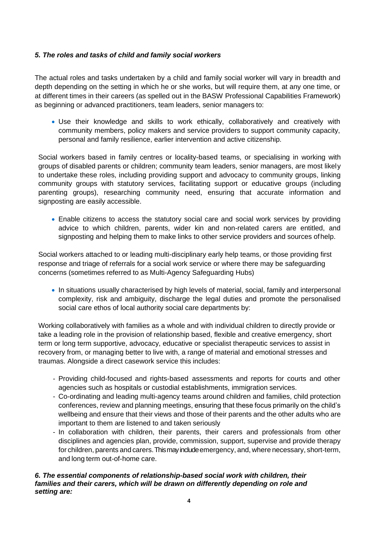# *5. The roles and tasks of child and family social workers*

The actual roles and tasks undertaken by a child and family social worker will vary in breadth and depth depending on the setting in which he or she works, but will require them, at any one time, or at different times in their careers (as spelled out in the BASW Professional Capabilities Framework) as beginning or advanced practitioners, team leaders, senior managers to:

• Use their knowledge and skills to work ethically, collaboratively and creatively with community members, policy makers and service providers to support community capacity, personal and family resilience, earlier intervention and active citizenship.

Social workers based in family centres or locality-based teams, or specialising in working with groups of disabled parents or children; community team leaders, senior managers, are most likely to undertake these roles, including providing support and advocacy to community groups, linking community groups with statutory services, facilitating support or educative groups (including parenting groups), researching community need, ensuring that accurate information and signposting are easily accessible.

• Enable citizens to access the statutory social care and social work services by providing advice to which children, parents, wider kin and non-related carers are entitled, and signposting and helping them to make links to other service providers and sources ofhelp.

Social workers attached to or leading multi-disciplinary early help teams, or those providing first response and triage of referrals for a social work service or where there may be safeguarding concerns (sometimes referred to as Multi-Agency Safeguarding Hubs)

• In situations usually characterised by high levels of material, social, family and interpersonal complexity, risk and ambiguity, discharge the legal duties and promote the personalised social care ethos of local authority social care departments by:

Working collaboratively with families as a whole and with individual children to directly provide or take a leading role in the provision of relationship based, flexible and creative emergency, short term or long term supportive, advocacy, educative or specialist therapeutic services to assist in recovery from, or managing better to live with, a range of material and emotional stresses and traumas. Alongside a direct casework service this includes:

- Providing child-focused and rights-based assessments and reports for courts and other agencies such as hospitals or custodial establishments, immigration services.
- Co-ordinating and leading multi-agency teams around children and families, child protection conferences, review and planning meetings, ensuring that these focus primarily on the child's wellbeing and ensure that their views and those of their parents and the other adults who are important to them are listened to and taken seriously
- In collaboration with children, their parents, their carers and professionals from other disciplines and agencies plan, provide, commission, support, supervise and provide therapy for children, parents and carers. This may include emergency, and, where necessary, short-term, and long term out-of-home care.

#### *6. The essential components of relationship-based social work with children, their*  families and their carers, which will be drawn on differently depending on role and *setting are:*